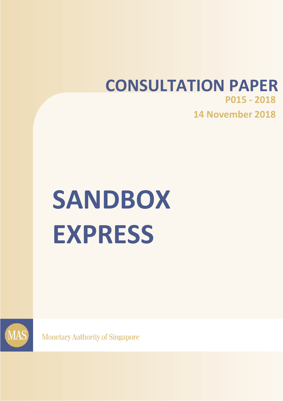## **CONSULTATION PAPER P015 - 2018 14 November 2018**

# **SANDBOX EXPRESS**



**Monetary Authority of Singapore**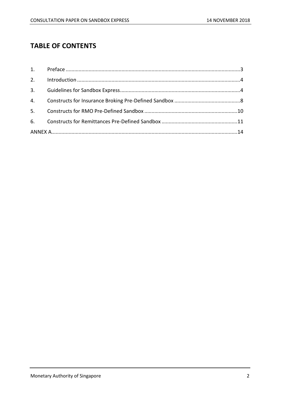### **TABLE OF CONTENTS**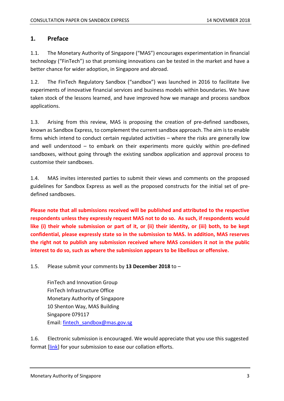#### <span id="page-2-0"></span>**1. Preface**

1.1. The Monetary Authority of Singapore ("MAS") encourages experimentation in financial technology ("FinTech") so that promising innovations can be tested in the market and have a better chance for wider adoption, in Singapore and abroad.

1.2. The FinTech Regulatory Sandbox ("sandbox") was launched in 2016 to facilitate live experiments of innovative financial services and business models within boundaries. We have taken stock of the lessons learned, and have improved how we manage and process sandbox applications.

1.3. Arising from this review, MAS is proposing the creation of pre-defined sandboxes, known as Sandbox Express, to complement the current sandbox approach. The aim is to enable firms which intend to conduct certain regulated activities – where the risks are generally low and well understood – to embark on their experiments more quickly within pre-defined sandboxes, without going through the existing sandbox application and approval process to customise their sandboxes.

1.4. MAS invites interested parties to submit their views and comments on the proposed guidelines for Sandbox Express as well as the proposed constructs for the initial set of predefined sandboxes.

**Please note that all submissions received will be published and attributed to the respective respondents unless they expressly request MAS not to do so. As such, if respondents would like (i) their whole submission or part of it, or (ii) their identity, or (iii) both, to be kept confidential, please expressly state so in the submission to MAS. In addition, MAS reserves the right not to publish any submission received where MAS considers it not in the public interest to do so, such as where the submission appears to be libellous or offensive.**

1.5. Please submit your comments by **13 December 2018** to –

FinTech and Innovation Group FinTech Infrastructure Office Monetary Authority of Singapore 10 Shenton Way, MAS Building Singapore 079117 Email: [fintech\\_sandbox@mas.gov.sg](mailto:fintech_sandbox@mas.gov.sg)

1.6. Electronic submission is encouraged. We would appreciate that you use this suggested format [\[link\]](http://www.mas.gov.sg/~/media/MAS/News%20and%20Publications/Consultation%20Papers/2018%20Nov%20Sandbox%20Express/Template%20for%20Response%20to%20Consultation%20Paper%20on%20Sandbox%20Express.docx) for your submission to ease our collation efforts.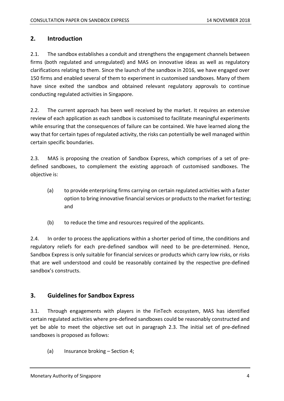#### <span id="page-3-0"></span>**2. Introduction**

2.1. The sandbox establishes a conduit and strengthens the engagement channels between firms (both regulated and unregulated) and MAS on innovative ideas as well as regulatory clarifications relating to them. Since the launch of the sandbox in 2016, we have engaged over 150 firms and enabled several of them to experiment in customised sandboxes. Many of them have since exited the sandbox and obtained relevant regulatory approvals to continue conducting regulated activities in Singapore.

2.2. The current approach has been well received by the market. It requires an extensive review of each application as each sandbox is customised to facilitate meaningful experiments while ensuring that the consequences of failure can be contained. We have learned along the way that for certain types of regulated activity, the risks can potentially be well managed within certain specific boundaries.

<span id="page-3-2"></span>2.3. MAS is proposing the creation of Sandbox Express, which comprises of a set of predefined sandboxes, to complement the existing approach of customised sandboxes. The objective is:

- (a) to provide enterprising firms carrying on certain regulated activities with a faster option to bring innovative financial services or productsto the market for testing; and
- (b) to reduce the time and resources required of the applicants.

2.4. In order to process the applications within a shorter period of time, the conditions and regulatory reliefs for each pre-defined sandbox will need to be pre-determined. Hence, Sandbox Express is only suitable for financial services or products which carry low risks, or risks that are well understood and could be reasonably contained by the respective pre-defined sandbox's constructs.

#### <span id="page-3-1"></span>**3. Guidelines for Sandbox Express**

3.1. Through engagements with players in the FinTech ecosystem, MAS has identified certain regulated activities where pre-defined sandboxes could be reasonably constructed and yet be able to meet the objective set out in paragraph [2.3.](#page-3-2) The initial set of pre-defined sandboxes is proposed as follows:

(a) Insurance broking – Section [4;](#page-7-0)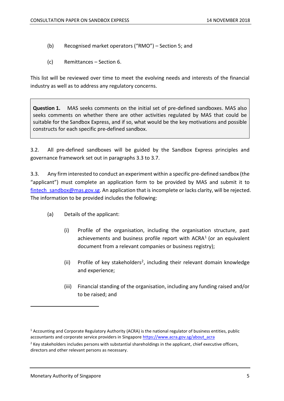- (b) Recognised market operators ("RMO") Section [5;](#page-9-0) and
- (c) Remittances Section [6.](#page-10-0)

This list will be reviewed over time to meet the evolving needs and interests of the financial industry as well as to address any regulatory concerns.

<span id="page-4-1"></span>**Question 1.** MAS seeks comments on the initial set of pre-defined sandboxes. MAS also seeks comments on whether there are other activities regulated by MAS that could be suitable for the Sandbox Express, and if so, what would be the key motivations and possible constructs for each specific pre-defined sandbox.

3.2. All pre-defined sandboxes will be guided by the Sandbox Express principles and governance framework set out in paragraphs [3.3](#page-4-0) to [3.7.](#page-7-1)

<span id="page-4-0"></span>3.3. Any firm interested to conduct an experiment within a specific pre-defined sandbox (the "applicant") must complete an application form to be provided by MAS and submit it to fintech sandbox@mas.gov.sg. An application that is incomplete or lacks clarity, will be rejected. The information to be provided includes the following:

- (a) Details of the applicant:
	- (i) Profile of the organisation, including the organisation structure, past achievements and business profile report with  $ACRA<sup>1</sup>$  (or an equivalent document from a relevant companies or business registry);
	- (ii) Profile of key stakeholders<sup>2</sup>, including their relevant domain knowledge and experience;
	- (iii) Financial standing of the organisation, including any funding raised and/or to be raised; and

 $1$  Accounting and Corporate Regulatory Authority (ACRA) is the national regulator of business entities, public accountants and corporate service providers in Singapor[e https://www.acra.gov.sg/about\\_acra](https://www.acra.gov.sg/about_acra)

 $<sup>2</sup>$  Key stakeholders includes persons with substantial shareholdings in the applicant, chief executive officers,</sup> directors and other relevant persons as necessary.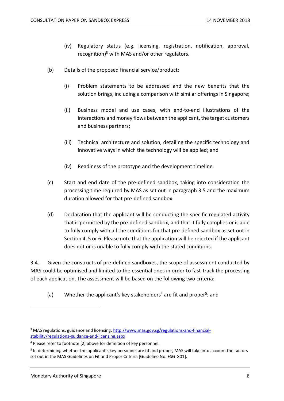- (iv) Regulatory status (e.g. licensing, registration, notification, approval, recognition) <sup>3</sup> with MAS and/or other regulators.
- (b) Details of the proposed financial service/product:
	- (i) Problem statements to be addressed and the new benefits that the solution brings, including a comparison with similar offerings in Singapore;
	- (ii) Business model and use cases, with end-to-end illustrations of the interactions and money flows between the applicant, the target customers and business partners;
	- (iii) Technical architecture and solution, detailing the specific technology and innovative ways in which the technology will be applied; and
	- (iv) Readiness of the prototype and the development timeline.
- (c) Start and end date of the pre-defined sandbox, taking into consideration the processing time required by MAS as set out in paragraph [3.5](#page-6-0) and the maximum duration allowed for that pre-defined sandbox.
- (d) Declaration that the applicant will be conducting the specific regulated activity that is permitted by the pre-defined sandbox, and that it fully complies or is able to fully comply with all the conditions for that pre-defined sandbox as set out in Section [4,](#page-7-0) [5](#page-9-0) or [6.](#page-10-0) Please note that the application will be rejected if the applicant does not or is unable to fully comply with the stated conditions.

3.4. Given the constructs of pre-defined sandboxes, the scope of assessment conducted by MAS could be optimised and limited to the essential ones in order to fast-track the processing of each application. The assessment will be based on the following two criteria:

(a) Whether the applicant's key stakeholders<sup>4</sup> are fit and proper<sup>5</sup>; and

<sup>&</sup>lt;sup>3</sup> MAS regulations, guidance and licensing[: http://www.mas.gov.sg/regulations-and-financial](http://www.mas.gov.sg/regulations-and-financial-stability/regulations-guidance-and-licensing.aspx)[stability/regulations-guidance-and-licensing.aspx](http://www.mas.gov.sg/regulations-and-financial-stability/regulations-guidance-and-licensing.aspx)

<sup>4</sup> Please refer to footnote [2] above for definition of key personnel.

<sup>&</sup>lt;sup>5</sup> In determining whether the applicant's key personnel are fit and proper, MAS will take into account the factors set out in the MAS Guidelines on Fit and Proper Criteria [Guideline No. FSG-G01].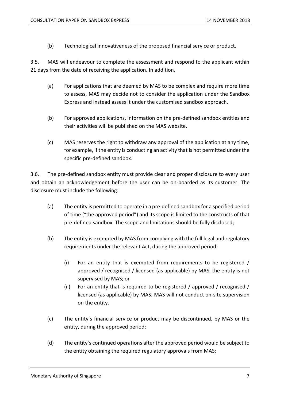(b) Technological innovativeness of the proposed financial service or product.

<span id="page-6-0"></span>3.5. MAS will endeavour to complete the assessment and respond to the applicant within 21 days from the date of receiving the application. In addition,

- (a) For applications that are deemed by MAS to be complex and require more time to assess, MAS may decide not to consider the application under the Sandbox Express and instead assess it under the customised sandbox approach.
- (b) For approved applications, information on the pre-defined sandbox entities and their activities will be published on the MAS website.
- (c) MAS reserves the right to withdraw any approval of the application at any time, for example, if the entity is conducting an activity that is not permitted under the specific pre-defined sandbox.

<span id="page-6-1"></span>3.6. The pre-defined sandbox entity must provide clear and proper disclosure to every user and obtain an acknowledgement before the user can be on-boarded as its customer. The disclosure must include the following:

- (a) The entity is permitted to operate in a pre-defined sandbox for a specified period of time ("the approved period") and its scope is limited to the constructs of that pre-defined sandbox. The scope and limitations should be fully disclosed;
- (b) The entity is exempted by MAS from complying with the full legal and regulatory requirements under the relevant Act, during the approved period:
	- (i) For an entity that is exempted from requirements to be registered / approved / recognised / licensed (as applicable) by MAS, the entity is not supervised by MAS; or
	- (ii) For an entity that is required to be registered / approved / recognised / licensed (as applicable) by MAS, MAS will not conduct on-site supervision on the entity.
- (c) The entity's financial service or product may be discontinued, by MAS or the entity, during the approved period;
- (d) The entity's continued operations after the approved period would be subject to the entity obtaining the required regulatory approvals from MAS;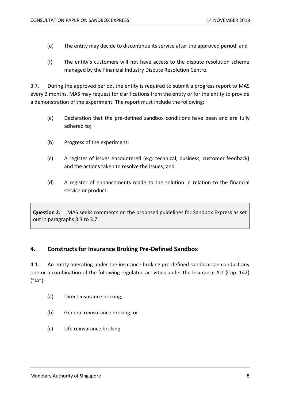- (e) The entity may decide to discontinue its service after the approved period; and
- (f) The entity's customers will not have access to the dispute resolution scheme managed by the Financial Industry Dispute Resolution Centre.

<span id="page-7-1"></span>3.7. During the approved period, the entity is required to submit a progress report to MAS every 2 months. MAS may request for clarifications from the entity or for the entity to provide a demonstration of the experiment. The report must include the following:

- (a) Declaration that the pre-defined sandbox conditions have been and are fully adhered to;
- (b) Progress of the experiment;
- (c) A register of issues encountered (e.g. technical, business, customer feedback) and the actions taken to resolve the issues; and
- (d) A register of enhancements made to the solution in relation to the financial service or product.

<span id="page-7-2"></span>**Question 2.** MAS seeks comments on the proposed guidelines for Sandbox Express as set out in paragraphs [3.3](#page-4-0) to [3.7.](#page-7-1)

#### <span id="page-7-0"></span>**4. Constructs for Insurance Broking Pre-Defined Sandbox**

4.1. An entity operating under the insurance broking pre-defined sandbox can conduct any one or a combination of the following regulated activities under the Insurance Act (Cap. 142) ("IA"):

- (a) Direct insurance broking;
- (b) General reinsurance broking; or
- (c) Life reinsurance broking.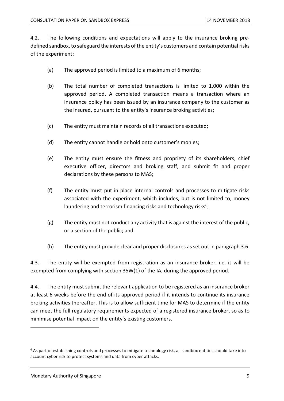4.2. The following conditions and expectations will apply to the insurance broking predefined sandbox, to safeguard the interests of the entity's customers and contain potential risks of the experiment:

- (a) The approved period is limited to a maximum of 6 months;
- (b) The total number of completed transactions is limited to 1,000 within the approved period. A completed transaction means a transaction where an insurance policy has been issued by an insurance company to the customer as the insured, pursuant to the entity's insurance broking activities;
- (c) The entity must maintain records of all transactions executed;
- (d) The entity cannot handle or hold onto customer's monies;
- (e) The entity must ensure the fitness and propriety of its shareholders, chief executive officer, directors and broking staff, and submit fit and proper declarations by these persons to MAS;
- (f) The entity must put in place internal controls and processes to mitigate risks associated with the experiment, which includes, but is not limited to, money laundering and terrorism financing risks and technology risks<sup>6</sup>;
- (g) The entity must not conduct any activity that is against the interest of the public, or a section of the public; and
- (h) The entity must provide clear and proper disclosures as set out in paragraph [3.6.](#page-6-1)

4.3. The entity will be exempted from registration as an insurance broker, i.e. it will be exempted from complying with section 35W(1) of the IA, during the approved period.

4.4. The entity must submit the relevant application to be registered as an insurance broker at least 6 weeks before the end of its approved period if it intends to continue its insurance broking activities thereafter. This is to allow sufficient time for MAS to determine if the entity can meet the full regulatory requirements expected of a registered insurance broker, so as to minimise potential impact on the entity's existing customers.

 $6$  As part of establishing controls and processes to mitigate technology risk, all sandbox entities should take into account cyber risk to protect systems and data from cyber attacks.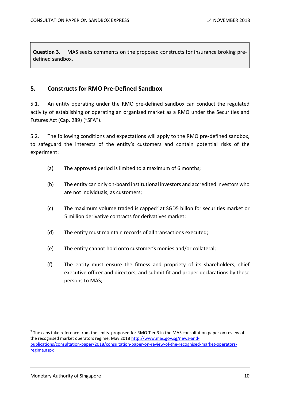<span id="page-9-1"></span>**Question 3.** MAS seeks comments on the proposed constructs for insurance broking predefined sandbox.

#### <span id="page-9-0"></span>**5. Constructs for RMO Pre-Defined Sandbox**

5.1. An entity operating under the RMO pre-defined sandbox can conduct the regulated activity of establishing or operating an organised market as a RMO under the Securities and Futures Act (Cap. 289) ("SFA").

5.2. The following conditions and expectations will apply to the RMO pre-defined sandbox, to safeguard the interests of the entity's customers and contain potential risks of the experiment:

- (a) The approved period is limited to a maximum of 6 months;
- (b) The entity can only on-board institutional investors and accredited investors who are not individuals, as customers;
- (c) The maximum volume traded is capped<sup>7</sup> at SGD5 billon for securities market or 5 million derivative contracts for derivatives market;
- (d) The entity must maintain records of all transactions executed;
- (e) The entity cannot hold onto customer's monies and/or collateral;
- (f) The entity must ensure the fitness and propriety of its shareholders, chief executive officer and directors, and submit fit and proper declarations by these persons to MAS;

 $<sup>7</sup>$  The caps take reference from the limits proposed for RMO Tier 3 in the MAS consultation paper on review of</sup> the recognised market operators regime, May 201[8 http://www.mas.gov.sg/news-and](http://www.mas.gov.sg/news-and-publications/consultation-paper/2018/consultation-paper-on-review-of-the-recognised-market-operators-regime.aspx)[publications/consultation-paper/2018/consultation-paper-on-review-of-the-recognised-market-operators](http://www.mas.gov.sg/news-and-publications/consultation-paper/2018/consultation-paper-on-review-of-the-recognised-market-operators-regime.aspx)[regime.aspx](http://www.mas.gov.sg/news-and-publications/consultation-paper/2018/consultation-paper-on-review-of-the-recognised-market-operators-regime.aspx)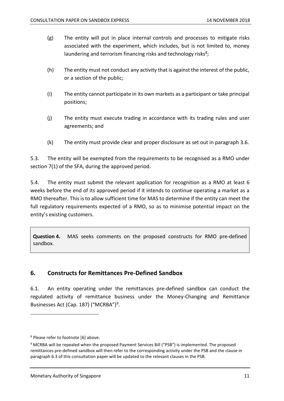- (g) The entity will put in place internal controls and processes to mitigate risks associated with the experiment, which includes, but is not limited to, money laundering and terrorism financing risks and technology risks<sup>8</sup>;
- (h) The entity must not conduct any activity that is against the interest of the public, or a section of the public;
- (i) The entity cannot participate in its own markets as a participant or take principal positions;
- (j) The entity must execute trading in accordance with its trading rules and user agreements; and
- (k) The entity must provide clear and proper disclosure as set out in paragraph [3.6.](#page-6-1)

5.3. The entity will be exempted from the requirements to be recognised as a RMO under section 7(1) of the SFA, during the approved period.

5.4. The entity must submit the relevant application for recognition as a RMO at least 6 weeks before the end of its approved period if it intends to continue operating a market as a RMO thereafter. This is to allow sufficient time for MAS to determine if the entity can meet the full regulatory requirements expected of a RMO, so as to minimise potential impact on the entity's existing customers.

<span id="page-10-1"></span>**Question 4.** MAS seeks comments on the proposed constructs for RMO pre-defined sandbox.

#### <span id="page-10-0"></span>**6. Constructs for Remittances Pre-Defined Sandbox**

6.1. An entity operating under the remittances pre-defined sandbox can conduct the regulated activity of remittance business under the Money-Changing and Remittance Businesses Act (Cap. 187) ("MCRBA")<sup>9</sup>.

<sup>8</sup> Please refer to footnote [6] above.

 $9$  MCRBA will be repealed when the proposed Payment Services Bill ("PSB") is implemented. The proposed remittances pre-defined sandbox will then refer to the corresponding activity under the PSB and the clause in paragraph 6.3 of this consultation paper will be updated to the relevant clauses in the PSB.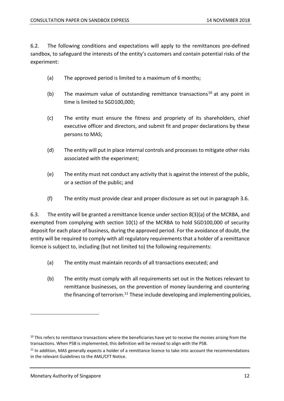6.2. The following conditions and expectations will apply to the remittances pre-defined sandbox, to safeguard the interests of the entity's customers and contain potential risks of the experiment:

- (a) The approved period is limited to a maximum of 6 months;
- (b) The maximum value of outstanding remittance transactions<sup>10</sup> at any point in time is limited to SGD100,000;
- (c) The entity must ensure the fitness and propriety of its shareholders, chief executive officer and directors, and submit fit and proper declarations by these persons to MAS;
- (d) The entity will put in place internal controls and processes to mitigate other risks associated with the experiment;
- (e) The entity must not conduct any activity that is against the interest of the public, or a section of the public; and
- (f) The entity must provide clear and proper disclosure as set out in paragraph [3.6.](#page-6-1)

6.3. The entity will be granted a remittance licence under section 8(3)(a) of the MCRBA, and exempted from complying with section 10(1) of the MCRBA to hold SGD100,000 of security deposit for each place of business, during the approved period. For the avoidance of doubt, the entity will be required to comply with all regulatory requirements that a holder of a remittance licence is subject to, including (but not limited to) the following requirements:

- (a) The entity must maintain records of all transactions executed; and
- (b) The entity must comply with all requirements set out in the Notices relevant to remittance businesses, on the prevention of money laundering and countering the financing of terrorism.<sup>11</sup> These include developing and implementing policies,

 $10$  This refers to remittance transactions where the beneficiaries have yet to receive the monies arising from the transactions. When PSB is implemented, this definition will be revised to align with the PSB.

 $11$  In addition, MAS generally expects a holder of a remittance licence to take into account the recommendations in the relevant Guidelines to the AML/CFT Notice.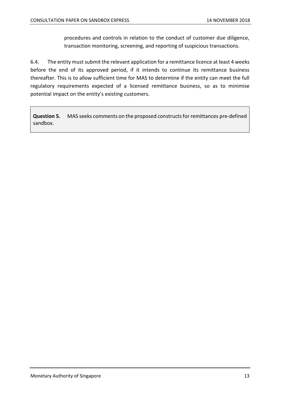procedures and controls in relation to the conduct of customer due diligence, transaction monitoring, screening, and reporting of suspicious transactions.

6.4. The entity must submit the relevant application for a remittance licence at least 4 weeks before the end of its approved period, if it intends to continue its remittance business thereafter. This is to allow sufficient time for MAS to determine if the entity can meet the full regulatory requirements expected of a licensed remittance business, so as to minimise potential impact on the entity's existing customers.

<span id="page-12-0"></span>**Question 5.** MAS seeks comments on the proposed constructs for remittances pre-defined sandbox.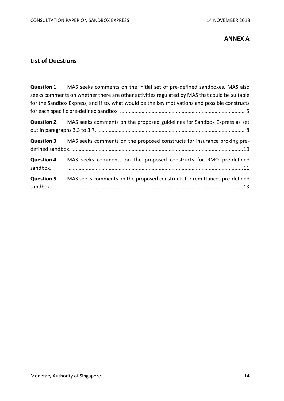#### **ANNEX A**

#### <span id="page-13-0"></span>**List of Questions**

|                                | <b>Question 1.</b> MAS seeks comments on the initial set of pre-defined sandboxes. MAS also<br>seeks comments on whether there are other activities regulated by MAS that could be suitable<br>for the Sandbox Express, and if so, what would be the key motivations and possible constructs |
|--------------------------------|----------------------------------------------------------------------------------------------------------------------------------------------------------------------------------------------------------------------------------------------------------------------------------------------|
|                                | <b>Question 2.</b> MAS seeks comments on the proposed guidelines for Sandbox Express as set                                                                                                                                                                                                  |
|                                | <b>Question 3.</b> MAS seeks comments on the proposed constructs for insurance broking pre-                                                                                                                                                                                                  |
| <b>Question 4.</b><br>sandbox. | MAS seeks comments on the proposed constructs for RMO pre-defined                                                                                                                                                                                                                            |
| <b>Question 5.</b><br>sandbox. | MAS seeks comments on the proposed constructs for remittances pre-defined                                                                                                                                                                                                                    |